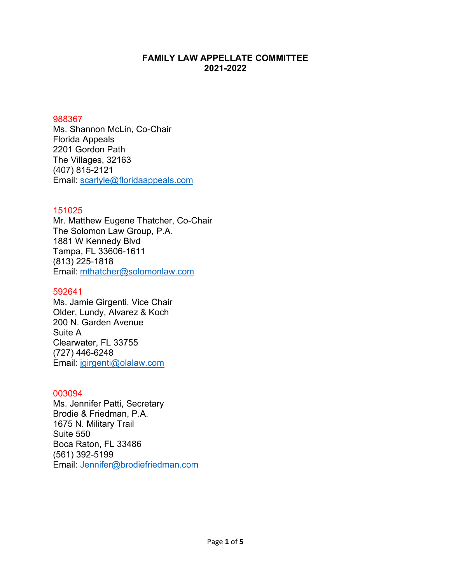# **FAMILY LAW APPELLATE COMMITTEE 2021-2022**

#### 988367

Ms. Shannon McLin, Co-Chair Florida Appeals 2201 Gordon Path The Villages, 32163 (407) 815-2121 Email: [scarlyle@floridaappeals.com](mailto:scarlyle@floridaappeals.com)

## 151025

Mr. Matthew Eugene Thatcher, Co-Chair The Solomon Law Group, P.A. 1881 W Kennedy Blvd Tampa, FL 33606-1611 (813) 225-1818 Email: [mthatcher@solomonlaw.com](mailto:mthatcher@solomonlaw.com)

## 592641

Ms. Jamie Girgenti, Vice Chair Older, Lundy, Alvarez & Koch 200 N. Garden Avenue Suite A Clearwater, FL 33755 (727) 446-6248 Email: [jgirgenti@olalaw.com](mailto:jgirgenti@olalaw.com)

## 003094

Ms. Jennifer Patti, Secretary Brodie & Friedman, P.A. 1675 N. Military Trail Suite 550 Boca Raton, FL 33486 (561) 392-5199 Email: [Jennifer@brodiefriedman.com](mailto:Jennifer@brodiefriedman.com)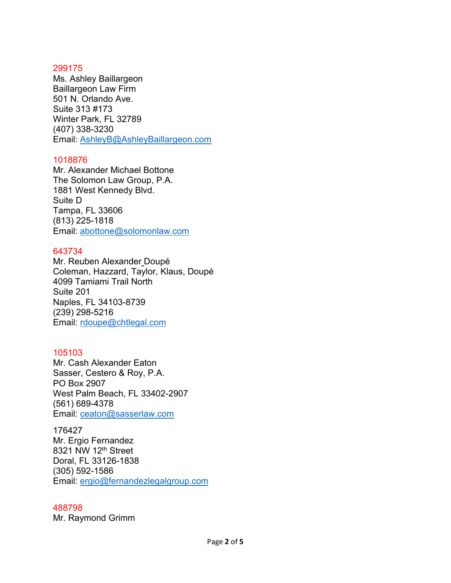#### 299175

Ms. Ashley Baillargeon Baillargeon Law Firm 501 N. Orlando Ave. Suite 313 #173 Winter Park, FL 32789 (407) 338-3230 Email: [AshleyB@AshleyBaillargeon.com](mailto:AshleyB@AshleyBaillargeon.com)

### 1018876

Mr. Alexander Michael Bottone The Solomon Law Group, P.A. 1881 West Kennedy Blvd. Suite D Tampa, FL 33606 (813) 225-1818 Email: [abottone@solomonlaw.com](mailto:abottone@solomonlaw.com)

### 643734

Mr. Reuben Alexander Doupé Coleman, Hazzard, Taylor, Klaus, Doupé 4099 Tamiami Trail North Suite 201 Naples, FL 34103-8739 (239) 298-5216 Email: [rdoupe@chtlegal.com](mailto:rdoupe@chtlegal.com)

## 105103

Mr. Cash Alexander Eaton Sasser, Cestero & Roy, P.A. PO Box 2907 West Palm Beach, FL 33402-2907 (561) 689-4378 Email: [ceaton@sasserlaw.com](mailto:ceaton@sasserlaw.com)

176427

Mr. Ergio Fernandez 8321 NW 12<sup>th</sup> Street Doral, FL 33126-1838 (305) 592-1586 Email: [ergio@fernandezlegalgroup.com](mailto:ergio@fernandezlegalgroup.com)

#### 488798

Mr. Raymond Grimm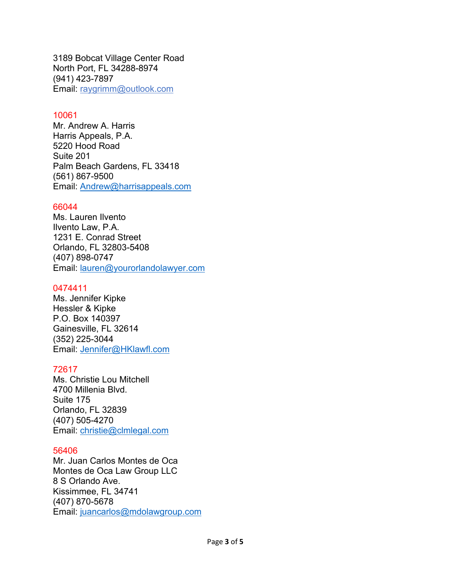3189 Bobcat Village Center Road North Port, FL 34288-8974 (941) 423-7897 Email: raygrimm@outlook.com

### 10061

Mr. Andrew A. Harris Harris Appeals, P.A. 5220 Hood Road Suite 201 Palm Beach Gardens, FL 33418 (561) 867-9500 Email: [Andrew@harrisappeals.com](mailto:Andrew@harrisappeals.com)

### 66044

Ms. Lauren Ilvento Ilvento Law, P.A. 1231 E. Conrad Street Orlando, FL 32803-5408 (407) 898-0747 Email: [lauren@yourorlandolawyer.com](mailto:lauren@yourorlandolawyer.com)

### 0474411

Ms. Jennifer Kipke Hessler & Kipke P.O. Box 140397 Gainesville, FL 32614 (352) 225-3044 Email: [Jennifer@HKlawfl.com](mailto:Jennifer@HKlawfl.com)

## 72617

Ms. Christie Lou Mitchell 4700 Millenia Blvd. Suite 175 Orlando, FL 32839 (407) 505-4270 Email: [christie@clmlegal.com](mailto:christie@clmlegal.com)

#### 56406

Mr. Juan Carlos Montes de Oca Montes de Oca Law Group LLC 8 S Orlando Ave. Kissimmee, FL 34741 (407) 870-5678 Email: [juancarlos@mdolawgroup.com](mailto:juancarlos@mdolawgroup.com)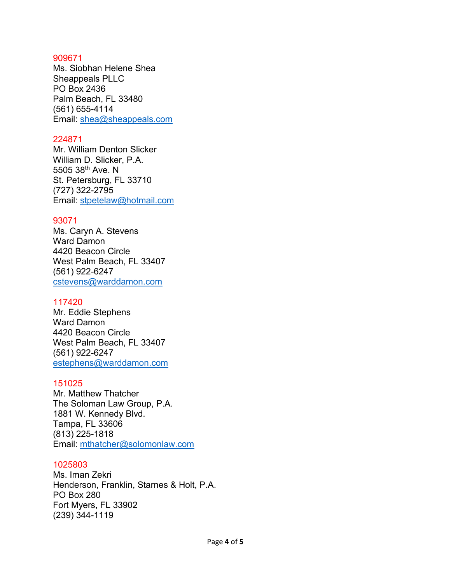#### 909671

Ms. Siobhan Helene Shea Sheappeals PLLC PO Box 2436 Palm Beach, FL 33480 (561) 655-4114 Email: [shea@sheappeals.com](mailto:shea@sheappeals.com)

### 224871

Mr. William Denton Slicker William D. Slicker, P.A. 5505 38th Ave. N St. Petersburg, FL 33710 (727) 322-2795 Email: [stpetelaw@hotmail.com](mailto:stpetelaw@hotmail.com)

## 93071

Ms. Caryn A. Stevens Ward Damon 4420 Beacon Circle West Palm Beach, FL 33407 (561) 922-6247 [cstevens@warddamon.com](mailto:cstevens@warddamon.com)

## 117420

Mr. Eddie Stephens Ward Damon 4420 Beacon Circle West Palm Beach, FL 33407 (561) 922-6247 [estephens@warddamon.com](mailto:estephens@warddamon.com)

## 151025

Mr. Matthew Thatcher The Soloman Law Group, P.A. 1881 W. Kennedy Blvd. Tampa, FL 33606 (813) 225-1818 Email: [mthatcher@solomonlaw.com](mailto:mthatcher@solomonlaw.com)

## 1025803

Ms. Iman Zekri Henderson, Franklin, Starnes & Holt, P.A. PO Box 280 Fort Myers, FL 33902 (239) 344-1119